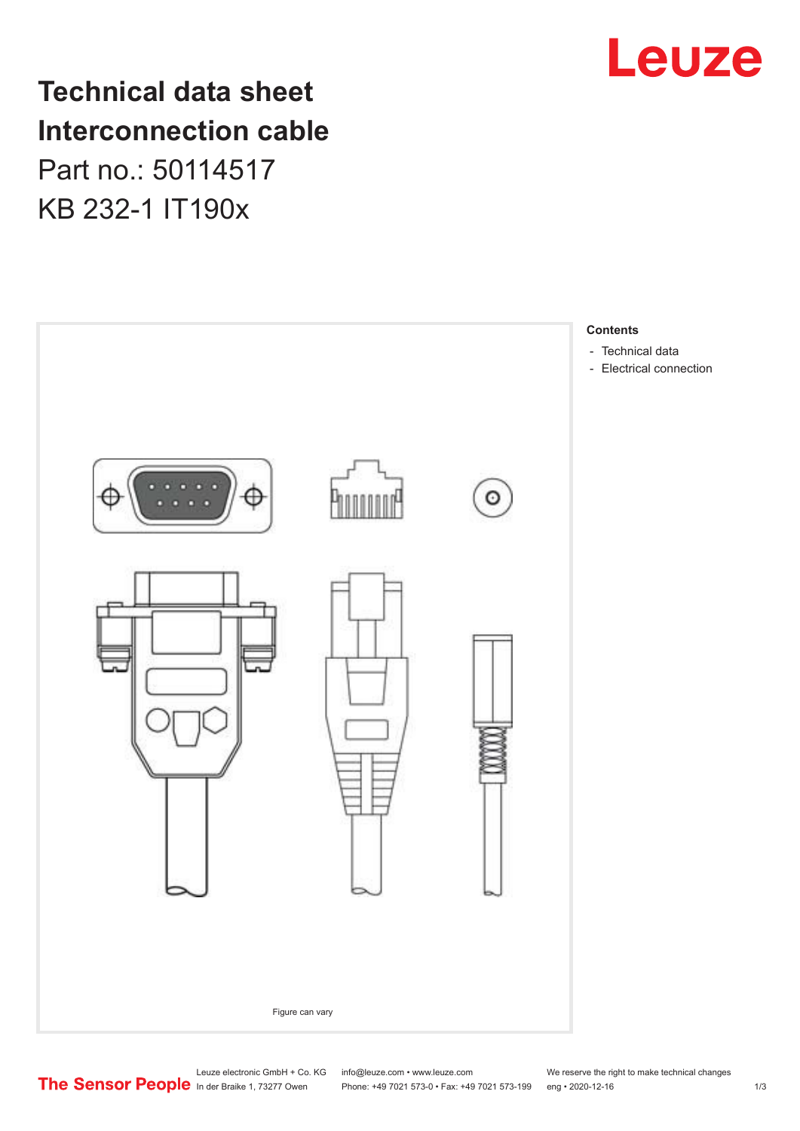

**Technical data sheet Interconnection cable** Part no.: 50114517 KB 232-1 IT190x



Leuze electronic GmbH + Co. KG info@leuze.com • www.leuze.com We reserve the right to make technical changes<br>
The Sensor People in der Braike 1, 73277 Owen Phone: +49 7021 573-0 • Fax: +49 7021 573-199 eng • 2020-12-16

Phone: +49 7021 573-0 • Fax: +49 7021 573-199 eng • 2020-12-16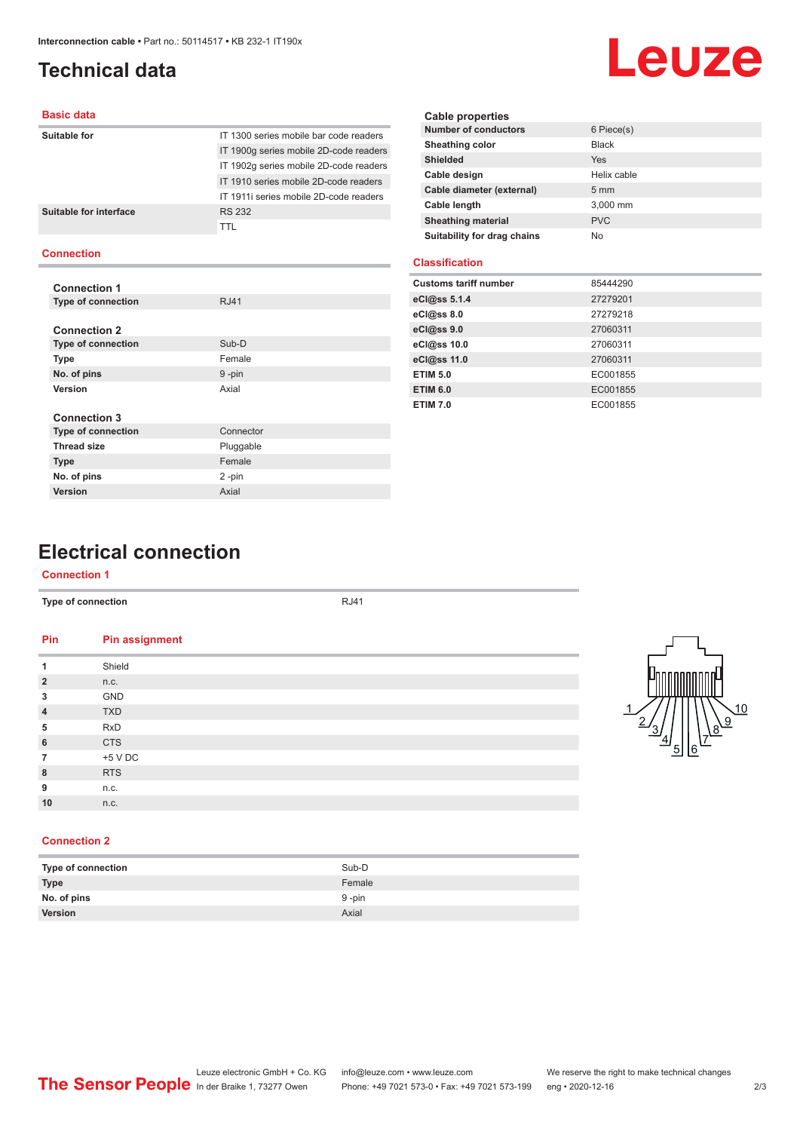## <span id="page-1-0"></span>**Technical data**

# Leuze

#### **Basic data**

| Suitable for           | IT 1300 series mobile bar code readers |
|------------------------|----------------------------------------|
|                        | IT 1900g series mobile 2D-code readers |
|                        | IT 1902q series mobile 2D-code readers |
|                        | IT 1910 series mobile 2D-code readers  |
|                        | IT 1911 series mobile 2D-code readers  |
| Suitable for interface | <b>RS 232</b>                          |
|                        | <b>TTL</b>                             |
|                        |                                        |

#### **Connection**

| <b>Connection 1</b>       |             |
|---------------------------|-------------|
| <b>Type of connection</b> | <b>RJ41</b> |
|                           |             |
| <b>Connection 2</b>       |             |
| <b>Type of connection</b> | Sub-D       |
| <b>Type</b>               | Female      |
| No. of pins               | 9-pin       |
| Version                   | Axial       |
|                           |             |
| <b>Connection 3</b>       |             |
| <b>Type of connection</b> | Connector   |
| <b>Thread size</b>        | Pluggable   |
| <b>Type</b>               | Female      |
| No. of pins               | 2-pin       |
| Version                   | Axial       |

| <b>Cable properties</b>     |                  |
|-----------------------------|------------------|
| <b>Number of conductors</b> | 6 Piece(s)       |
| Sheathing color             | <b>Black</b>     |
| <b>Shielded</b>             | <b>Yes</b>       |
| Cable design                | Helix cable      |
| Cable diameter (external)   | $5 \, \text{mm}$ |
| Cable length                | 3,000 mm         |
| <b>Sheathing material</b>   | <b>PVC</b>       |
| Suitability for drag chains | No               |

#### **Classification**

| <b>Customs tariff number</b> | 85444290 |
|------------------------------|----------|
| eCl@ss 5.1.4                 | 27279201 |
| eCl@ss 8.0                   | 27279218 |
| eCl@ss 9.0                   | 27060311 |
| eCl@ss 10.0                  | 27060311 |
| eCl@ss 11.0                  | 27060311 |
| <b>ETIM 5.0</b>              | EC001855 |
| <b>ETIM 6.0</b>              | EC001855 |
| <b>ETIM 7.0</b>              | EC001855 |

## **Electrical connection**

#### **Connection 1**

|                | Type of connection    | <b>RJ41</b> |
|----------------|-----------------------|-------------|
| Pin            | <b>Pin assignment</b> |             |
| 1              | Shield                |             |
| $\overline{2}$ | n.c.                  |             |
| 3              | GND                   |             |
| $\overline{4}$ | <b>TXD</b>            |             |
| 5              | <b>RxD</b>            |             |
| 6              | <b>CTS</b>            |             |
| $\overline{7}$ | +5 V DC               |             |
| 8              | <b>RTS</b>            |             |
| 9              | n.c.                  |             |
| 10             | n.c.                  |             |
|                |                       |             |



#### **Connection 2**

| Type of connection | Sub-D  |
|--------------------|--------|
| <b>Type</b>        | Female |
| No. of pins        | 9-pin  |
| <b>Version</b>     | Axial  |